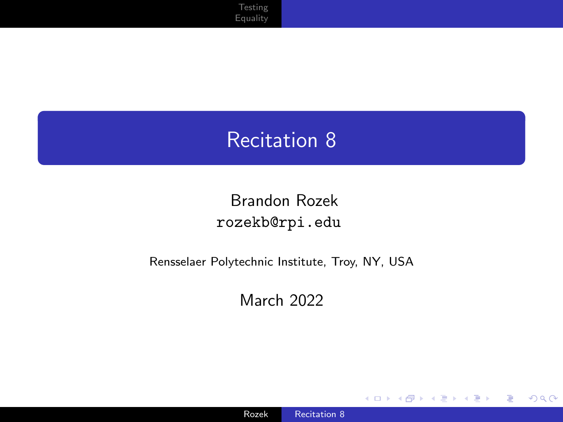#### <span id="page-0-0"></span>Recitation 8

#### Brandon Rozek [rozekb@rpi.edu](mailto:rozekb@rpi.edu)

#### Rensselaer Polytechnic Institute, Troy, NY, USA

March 2022

4 0 8

×

 $299$ 

≣

-b

目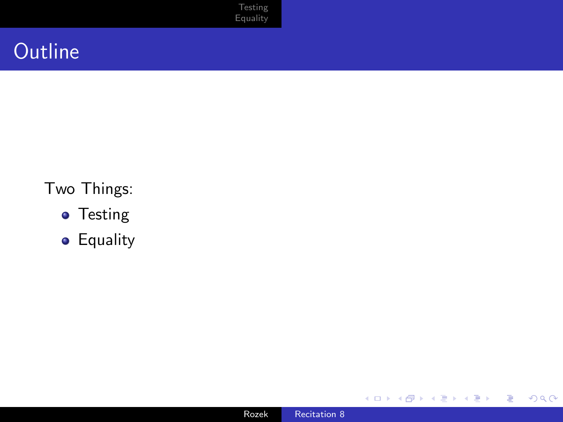## **Outline**

#### Two Things:

- **•** Testing
- **•** Equality



4 0 8

4 伊 > 4 ≣ ŧ

D. к  $\,$ 

E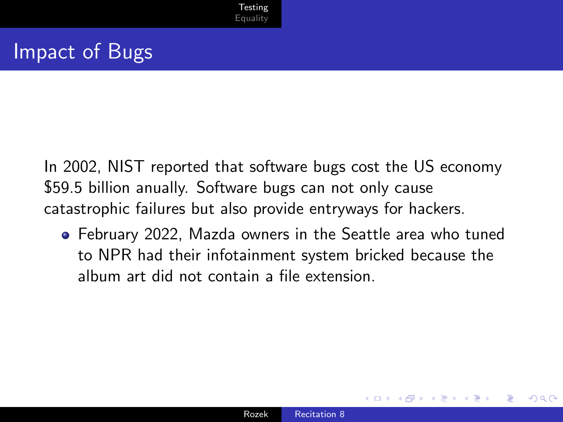<span id="page-2-0"></span>In 2002, NIST reported that software bugs cost the US economy \$59.5 billion anually. Software bugs can not only cause catastrophic failures but also provide entryways for hackers.

February 2022, Mazda owners in the Seattle area who tuned to NPR had their infotainment system bricked because the album art did not contain a file extension.

つくへ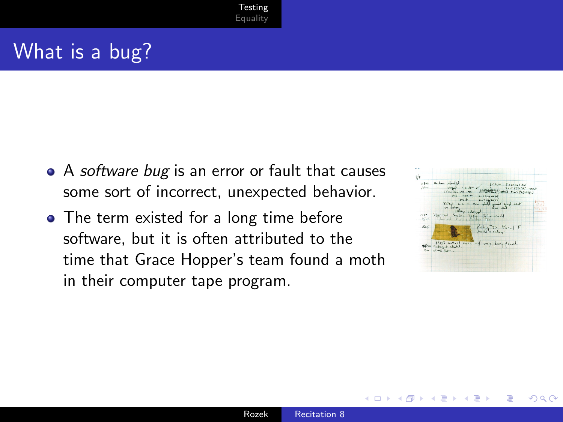## What is a bug?

- A software bug is an error or fault that causes some sort of incorrect, unexpected behavior.
- The term existed for a long time before software, but it is often attributed to the time that Grace Hopper's team found a moth in their computer tape program.



つくへ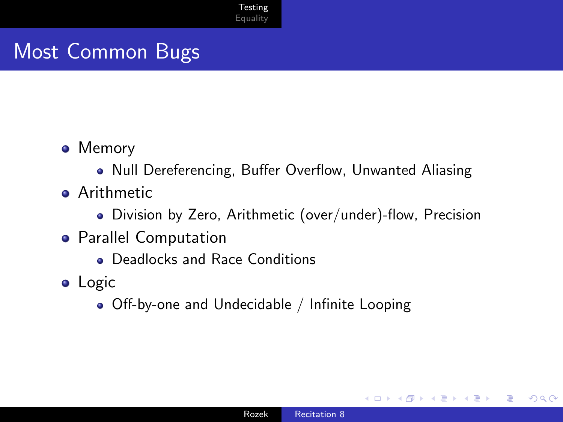## Most Common Bugs

- Memory
	- Null Dereferencing, Buffer Overflow, Unwanted Aliasing
- **Arithmetic** 
	- Division by Zero, Arithmetic (over/under)-flow, Precision
- **•** Parallel Computation
	- Deadlocks and Race Conditions
- **•** Logic
	- Off-by-one and Undecidable / Infinite Looping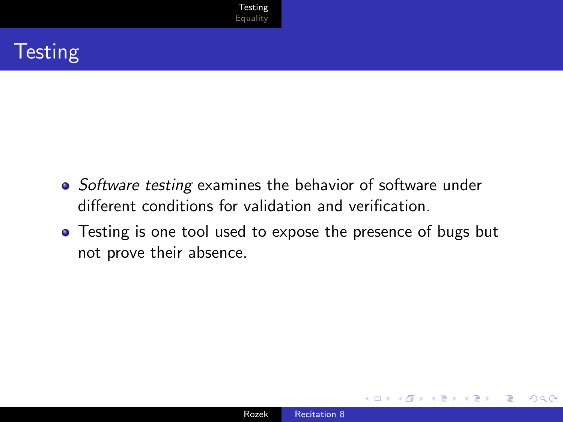## **Testing**

- Software testing examines the behavior of software under different conditions for validation and verification.
- Testing is one tool used to expose the presence of bugs but not prove their absence.

 $\Omega$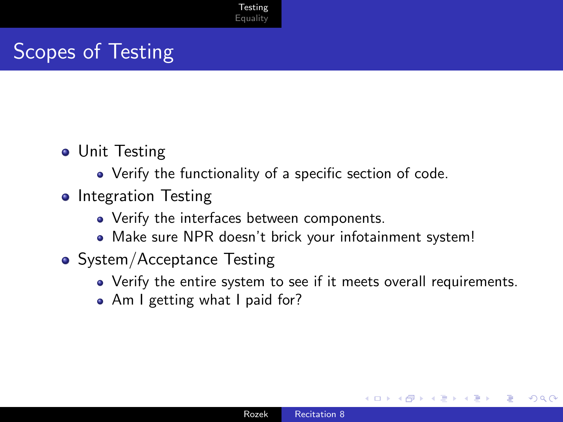# Scopes of Testing

- **•** Unit Testing
	- Verify the functionality of a specific section of code.
- Integration Testing
	- Verify the interfaces between components.
	- Make sure NPR doesn't brick your infotainment system!
- System/Acceptance Testing
	- Verify the entire system to see if it meets overall requirements.
	- Am I getting what I paid for?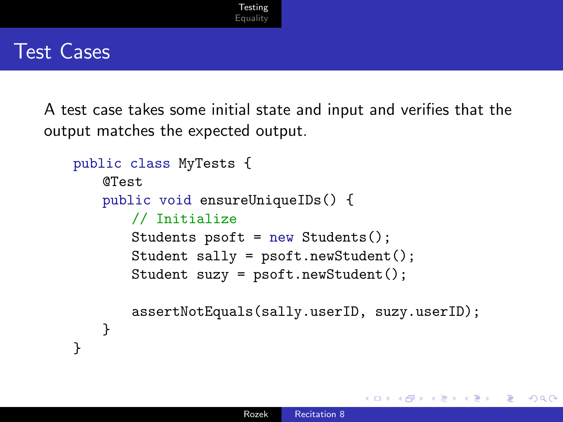#### Test Cases

A test case takes some initial state and input and verifies that the output matches the expected output.

```
public class MyTests {
   @Test
   public void ensureUniqueIDs() {
       // Initialize
       Students psoft = new Students();
       Student sally = psoft.newStudent();
       Student suzy = psoft.newStudent();
       assertNotEquals(sally.userID, suzy.userID);
   }
}
```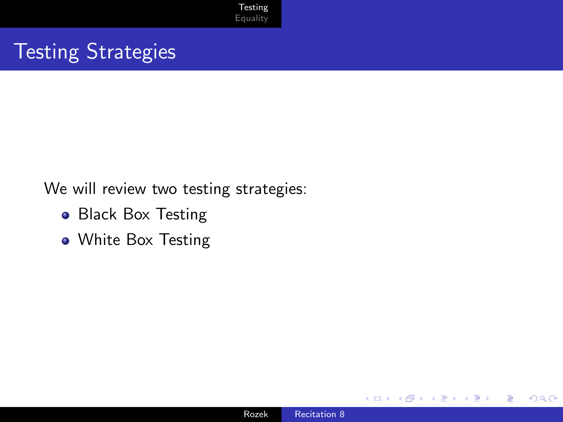## Testing Strategies

We will review two testing strategies:

- Black Box Testing
- White Box Testing

 $\sim$   $\sim$ 

 $299$ 

∍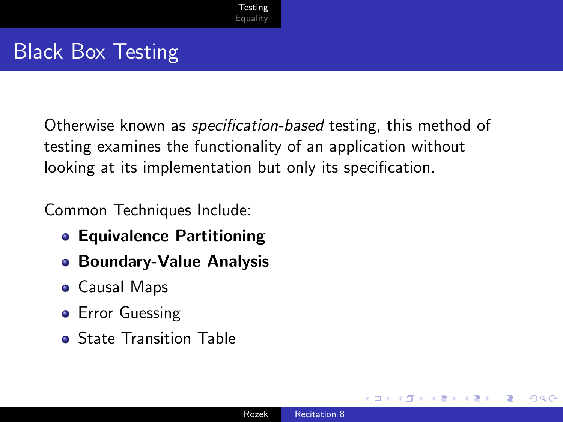## Black Box Testing

Otherwise known as specification-based testing, this method of testing examines the functionality of an application without looking at its implementation but only its specification.

Common Techniques Include:

- **Equivalence Partitioning**
- Boundary-Value Analysis
- Causal Maps
- **•** Error Guessing
- **•** State Transition Table

つくへ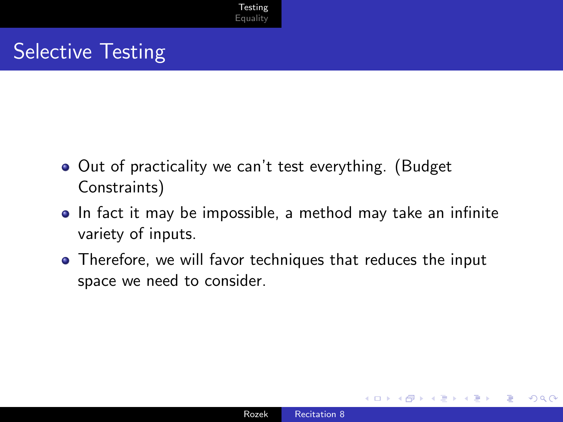## Selective Testing

- Out of practicality we can't test everything. (Budget Constraints)
- In fact it may be impossible, a method may take an infinite variety of inputs.
- Therefore, we will favor techniques that reduces the input space we need to consider.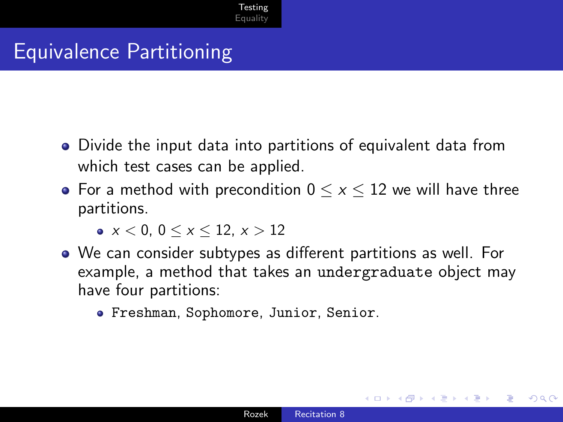## Equivalence Partitioning

- Divide the input data into partitions of equivalent data from which test cases can be applied.
- For a method with precondition  $0 \le x \le 12$  we will have three partitions.

 $\bullet x < 0, 0 < x < 12, x > 12$ 

- We can consider subtypes as different partitions as well. For example, a method that takes an undergraduate object may have four partitions:
	- Freshman, Sophomore, Junior, Senior.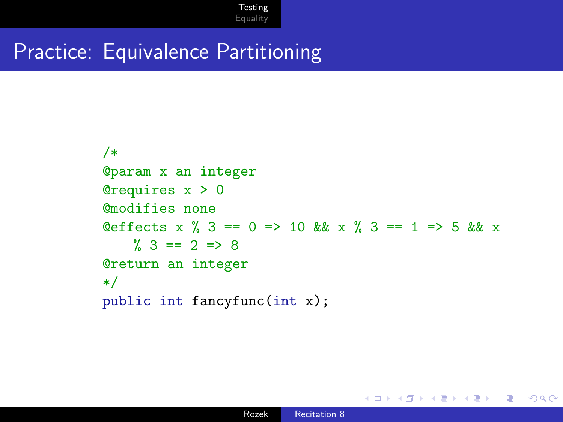#### Practice: Equivalence Partitioning

```
/*
@param x an integer
@requires x > 0
@modifies none
Qeffects x % 3 == 0 => 10 & x % 3 == 1 => 5 & x x
   \% 3 == 2 => 8@return an integer
*/
public int fancyfunc(int x);
```
**K 何 ▶ ス ヨ ▶ ス ヨ ▶** 

э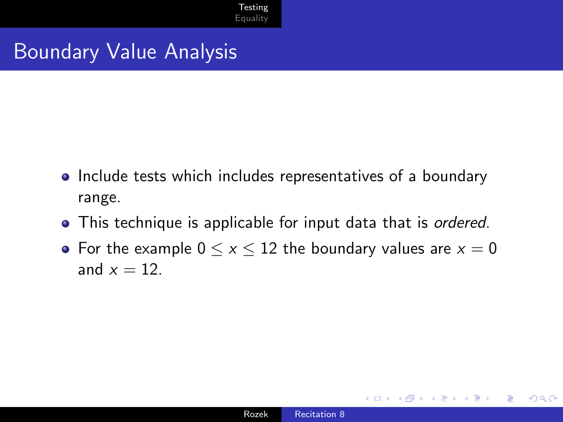#### Boundary Value Analysis

- Include tests which includes representatives of a boundary range.
- This technique is applicable for input data that is *ordered*.
- For the example  $0 \le x \le 12$  the boundary values are  $x = 0$ and  $x = 12$ .

 $\Omega$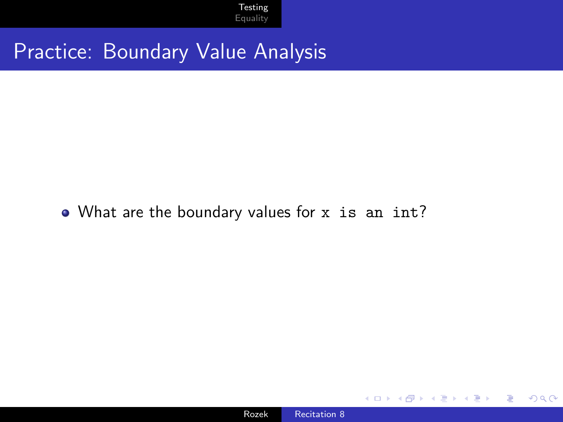#### Practice: Boundary Value Analysis

#### • What are the boundary values for x is an int?

 $\sim$   $\sim$ 

 $299$ 

∍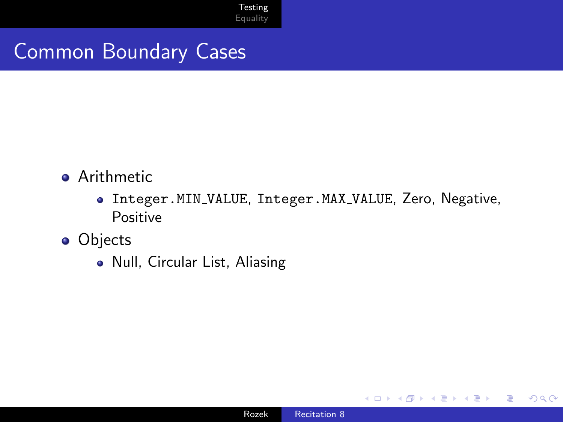#### Common Boundary Cases

- **•** Arithmetic
	- Integer.MIN VALUE, Integer.MAX VALUE, Zero, Negative, Positive
- **o** Objects
	- Null, Circular List, Aliasing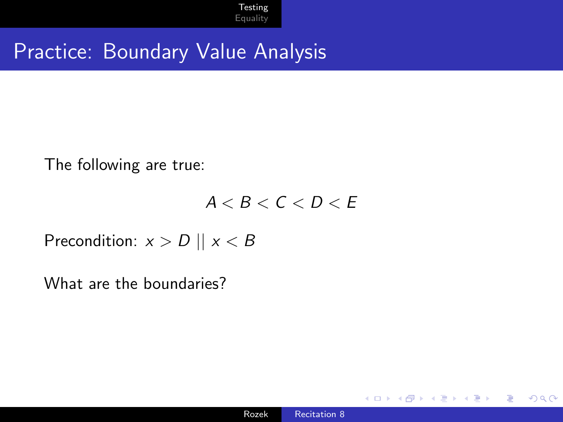#### Practice: Boundary Value Analysis

The following are true:

 $A < B < C < D < E$ 

Precondition:  $x > D \parallel x < B$ 

What are the boundaries?

 $\Omega$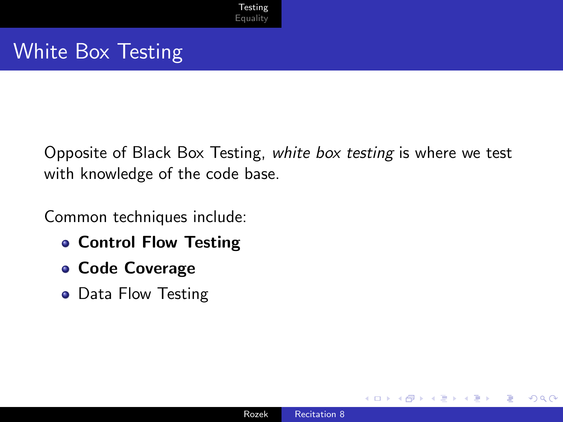## White Box Testing

Opposite of Black Box Testing, white box testing is where we test with knowledge of the code base.

Common techniques include:

- **Control Flow Testing**
- Code Coverage
- Data Flow Testing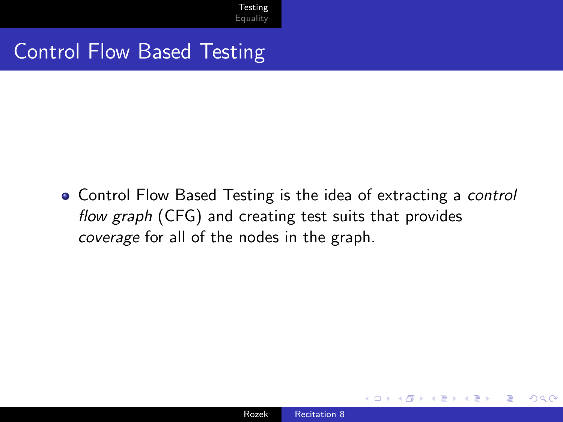#### Control Flow Based Testing

• Control Flow Based Testing is the idea of extracting a control flow graph (CFG) and creating test suits that provides coverage for all of the nodes in the graph.

つくい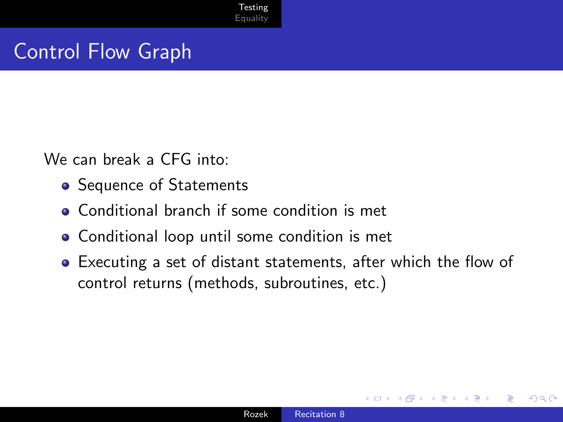#### Control Flow Graph

We can break a CFG into:

- Sequence of Statements
- Conditional branch if some condition is met
- Conditional loop until some condition is met
- Executing a set of distant statements, after which the flow of control returns (methods, subroutines, etc.)

つくい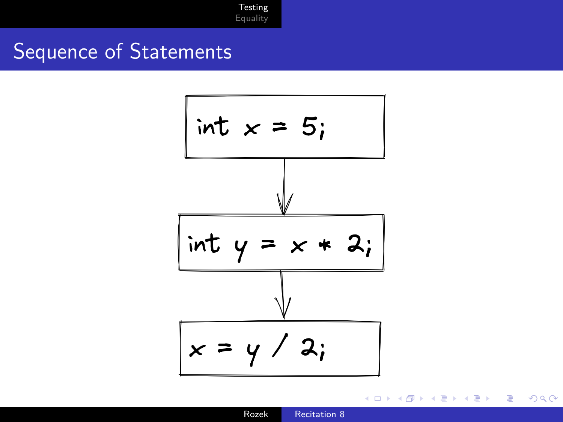#### Sequence of Statements



④ → → 三

4 m k

B.K. э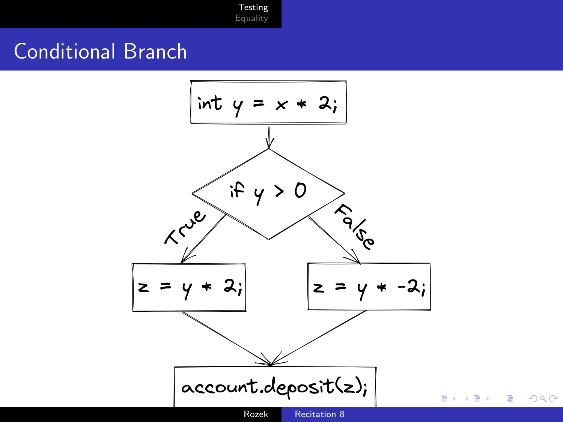### Conditional Branch



つくへ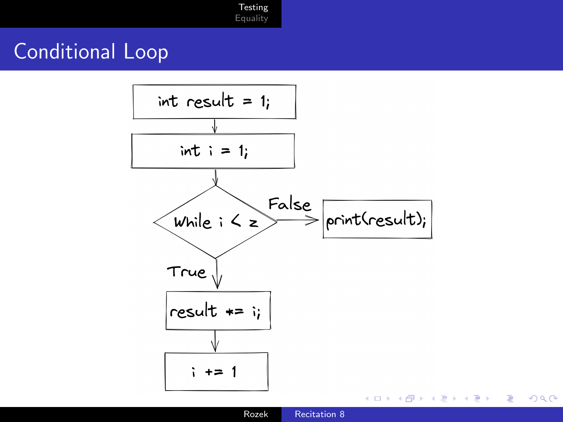### Conditional Loop



 $299$ 

Rozek [Recitation 8](#page-0-0)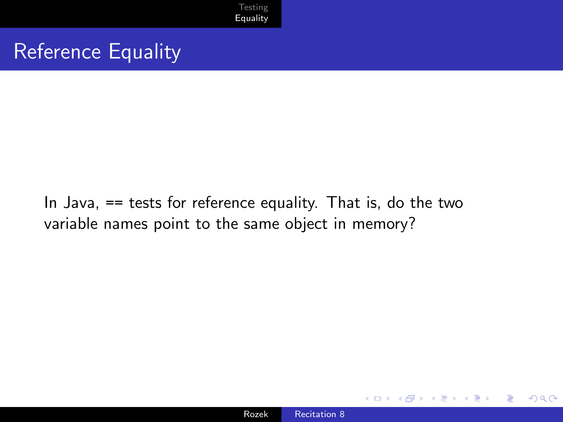

#### <span id="page-23-0"></span>Reference Equality

In Java, == tests for reference equality. That is, do the two variable names point to the same object in memory?



 $\Omega$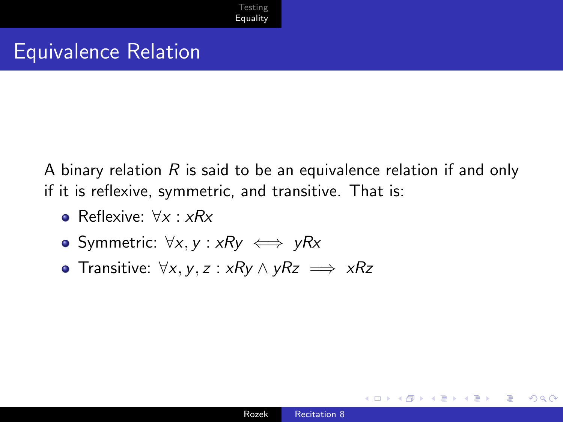#### Equivalence Relation

A binary relation  $R$  is said to be an equivalence relation if and only if it is reflexive, symmetric, and transitive. That is:

- **•** Reflexive:  $\forall x : xRx$
- Symmetric:  $\forall x, y : xRy \iff yRx$
- Transitive:  $\forall x, y, z : xRy \land yRz \implies xRz$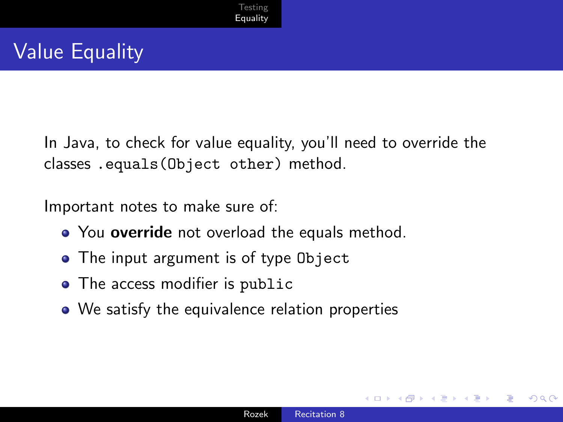In Java, to check for value equality, you'll need to override the classes .equals(Object other) method.

Important notes to make sure of:

- You override not overload the equals method.
- The input argument is of type Object
- The access modifier is public
- We satisfy the equivalence relation properties

つくい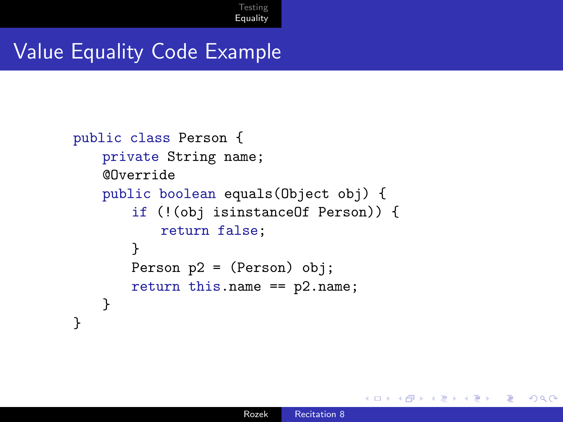#### Value Equality Code Example

```
public class Person {
   private String name;
   @Override
   public boolean equals(Object obj) {
       if (!(obj isinstanceOf Person)) {
           return false;
       }
       Person p2 = (Person) obj;
       return this.name == p2.name;
   }
}
```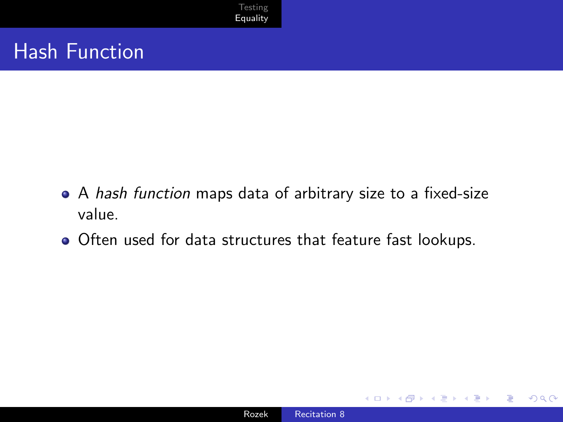

#### Hash Function

- A hash function maps data of arbitrary size to a fixed-size value.
- Often used for data structures that feature fast lookups.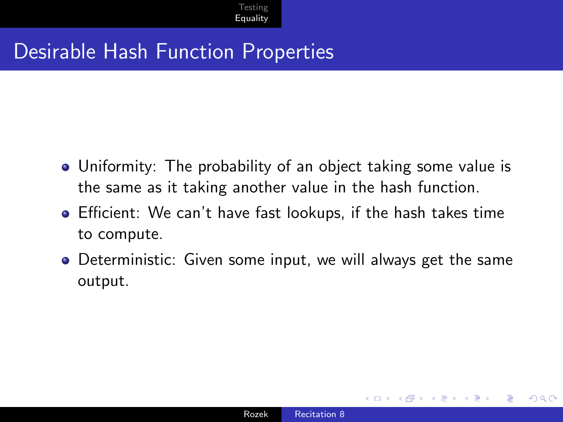#### Desirable Hash Function Properties

- Uniformity: The probability of an object taking some value is the same as it taking another value in the hash function.
- Efficient: We can't have fast lookups, if the hash takes time to compute.
- Deterministic: Given some input, we will always get the same output.

つくい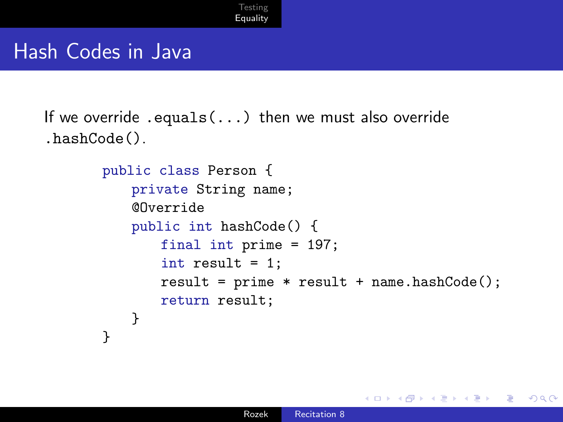#### Hash Codes in Java

```
If we override .equals(...) then we must also override
.hashCode().
```

```
public class Person {
   private String name;
   @Override
   public int hashCode() {
       final int prime = 197;
       int result = 1;
       result = prime * result + name.hashCode();return result;
   }
}
```